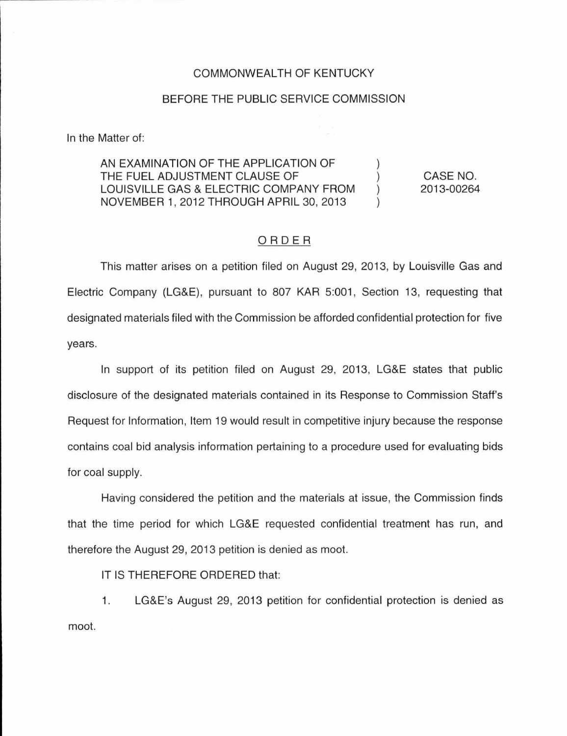### COMMONWEAL TH OF KENTUCKY

## BEFORE THE PUBLIC SERVICE COMMISSION

In the Matter of:

#### AN EXAMINATION OF THE APPLICATION OF THE FUEL ADJUSTMENT CLAUSE OF LOUISVILLE GAS & ELECTRIC COMPANY FROM  $\lambda$ NOVEMBER 1, 2012 THROUGH APRIL 30, 2013

CASE NO. 2013-00264

## ORDER

This matter arises on a petition filed on August 29, 2013, by Louisville Gas and Electric Company (LG&E), pursuant to 807 KAR 5:001, Section 13, requesting that designated materials filed with the Commission be afforded confidential protection for five years.

In support of its petition filed on August 29, 2013, LG&E states that public disclosure of the designated materials contained in its Response to Commission Staff's Request for Information, Item 19 would result in competitive injury because the response contains coal bid analysis information pertaining to a procedure used for evaluating bids for coal supply.

Having considered the petition and the materials at issue, the Commission finds that the time period for which LG&E requested confidential treatment has run, and therefore the August 29, 2013 petition is denied as moot.

IT IS THEREFORE ORDERED that:

1. LG&E's August 29, 2013 petition for confidential protection is denied as moot.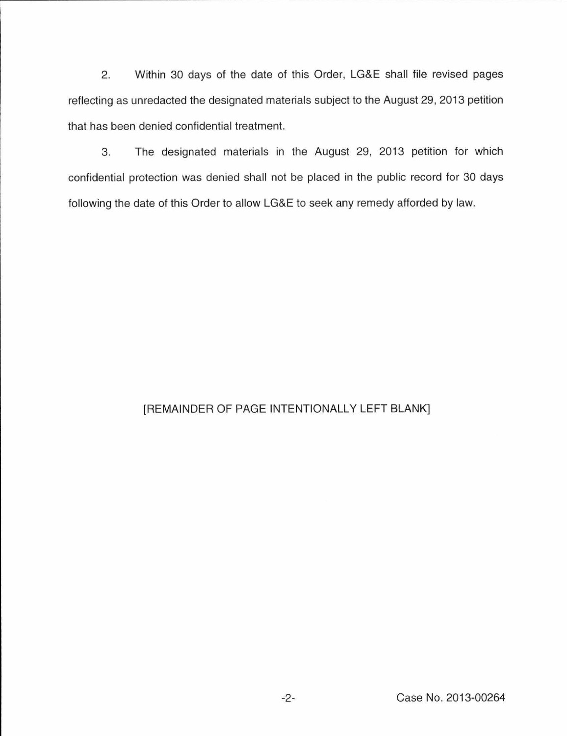2. Within 30 days of the date of this Order, LG&E shall file revised pages reflecting as unredacted the designated materials subject to the August 29, 2013 petition that has been denied confidential treatment.

3. The designated materials in the August 29, 2013 petition for which confidential protection was denied shall not be placed in the public record for 30 days following the date of this Order to allow LG&E to seek any remedy afforded by law.

# [REMAINDER OF PAGE INTENTIONALLY LEFT BLANK]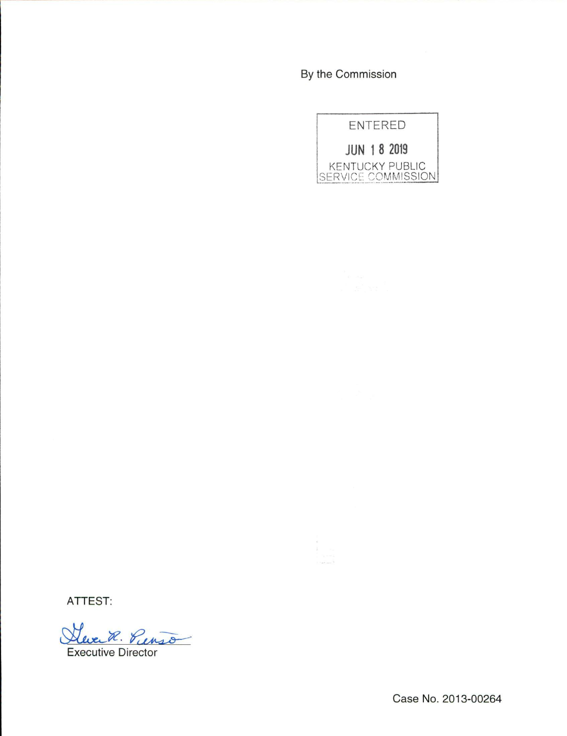By the Commission



ATTEST:

Steven R. Pienso

Executive Director